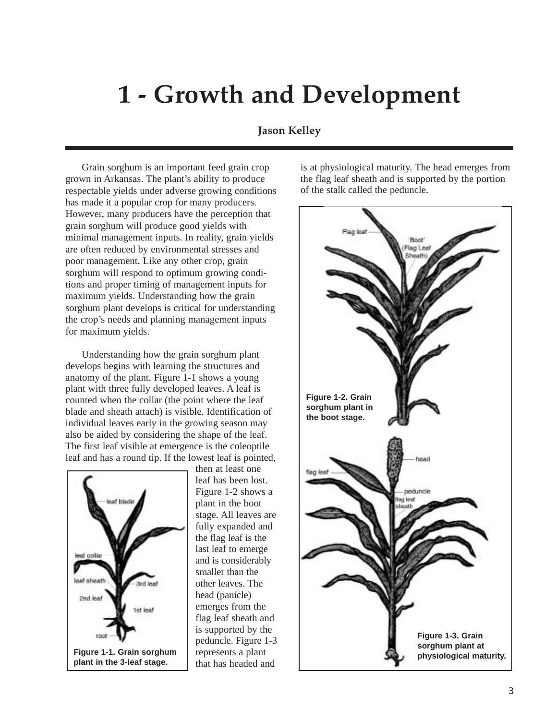# **1 - Growth and Development**

# **Jason Kelley**

grown in Arkansas. The plant's ability to produce the flag leaf sheath and is supported by the portion respectable yields under adverse growing conditions of the stalk called the peduncle. has made it a popular crop for many producers. However, many producers have the perception that grain sorghum will produce good yields with minimal management inputs. In reality, grain yields are often reduced by environmental stresses and poor management. Like any other crop, grain sorghum will respond to optimum growing conditions and proper timing of management inputs for maximum yields. Understanding how the grain sorghum plant develops is critical for understanding the crop's needs and planning management inputs for maximum yields.

Understanding how the grain sorghum plant develops begins with learning the structures and anatomy of the plant. Figure 1-1 shows a young plant with three fully developed leaves. A leaf is counted when the collar (the point where the leaf blade and sheath attach) is visible. Identification of individual leaves early in the growing season may also be aided by considering the shape of the leaf. The first leaf visible at emergence is the coleoptile leaf and has a round tip. If the lowest leaf is pointed,



then at least one leaf has been lost. Figure 1-2 shows a plant in the boot stage. All leaves are fully expanded and the flag leaf is the last leaf to emerge and is considerably smaller than the other leaves. The head (panicle) emerges from the flag leaf sheath and is supported by the peduncle. Figure 1-3 represents a plant that has headed and

Grain sorghum is an important feed grain crop is at physiological maturity. The head emerges from

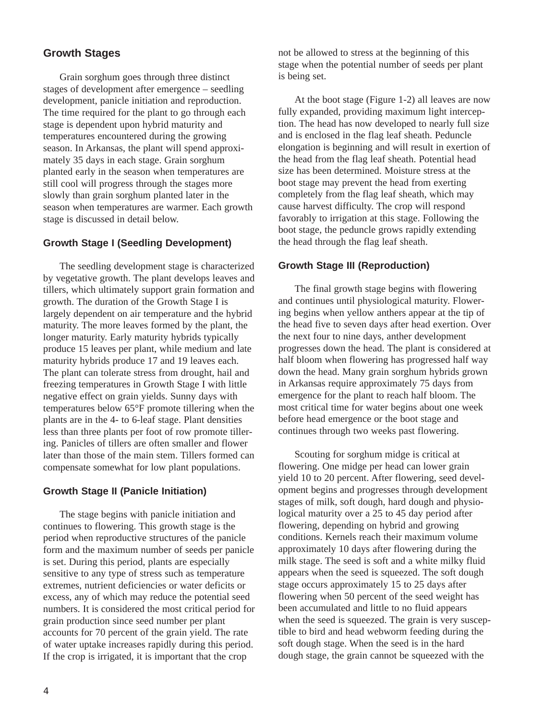# **Growth Stages**

Grain sorghum goes through three distinct stages of development after emergence – seedling development, panicle initiation and reproduction. The time required for the plant to go through each stage is dependent upon hybrid maturity and temperatures encountered during the growing season. In Arkansas, the plant will spend approximately 35 days in each stage. Grain sorghum planted early in the season when temperatures are still cool will progress through the stages more slowly than grain sorghum planted later in the season when temperatures are warmer. Each growth stage is discussed in detail below.

## **Growth Stage I (Seedling Development)**

The seedling development stage is characterized by vegetative growth. The plant develops leaves and tillers, which ultimately support grain formation and growth. The duration of the Growth Stage I is largely dependent on air temperature and the hybrid maturity. The more leaves formed by the plant, the longer maturity. Early maturity hybrids typically produce 15 leaves per plant, while medium and late maturity hybrids produce 17 and 19 leaves each. The plant can tolerate stress from drought, hail and freezing temperatures in Growth Stage I with little negative effect on grain yields. Sunny days with temperatures below 65°F promote tillering when the plants are in the 4- to 6-leaf stage. Plant densities less than three plants per foot of row promote tillering. Panicles of tillers are often smaller and flower later than those of the main stem. Tillers formed can compensate somewhat for low plant populations.

#### **Growth Stage II (Panicle Initiation)**

The stage begins with panicle initiation and continues to flowering. This growth stage is the period when reproductive structures of the panicle form and the maximum number of seeds per panicle is set. During this period, plants are especially sensitive to any type of stress such as temperature extremes, nutrient deficiencies or water deficits or excess, any of which may reduce the potential seed numbers. It is considered the most critical period for grain production since seed number per plant accounts for 70 percent of the grain yield. The rate of water uptake increases rapidly during this period. If the crop is irrigated, it is important that the crop

not be allowed to stress at the beginning of this stage when the potential number of seeds per plant is being set.

At the boot stage (Figure 1-2) all leaves are now fully expanded, providing maximum light interception. The head has now developed to nearly full size and is enclosed in the flag leaf sheath. Peduncle elongation is beginning and will result in exertion of the head from the flag leaf sheath. Potential head size has been determined. Moisture stress at the boot stage may prevent the head from exerting completely from the flag leaf sheath, which may cause harvest difficulty. The crop will respond favorably to irrigation at this stage. Following the boot stage, the peduncle grows rapidly extending the head through the flag leaf sheath.

#### **Growth Stage III (Reproduction)**

The final growth stage begins with flowering and continues until physiological maturity. Flowering begins when yellow anthers appear at the tip of the head five to seven days after head exertion. Over the next four to nine days, anther development progresses down the head. The plant is considered at half bloom when flowering has progressed half way down the head. Many grain sorghum hybrids grown in Arkansas require approximately 75 days from emergence for the plant to reach half bloom. The most critical time for water begins about one week before head emergence or the boot stage and continues through two weeks past flowering.

Scouting for sorghum midge is critical at flowering. One midge per head can lower grain yield 10 to 20 percent. After flowering, seed development begins and progresses through development stages of milk, soft dough, hard dough and physiological maturity over a 25 to 45 day period after flowering, depending on hybrid and growing conditions. Kernels reach their maximum volume approximately 10 days after flowering during the milk stage. The seed is soft and a white milky fluid appears when the seed is squeezed. The soft dough stage occurs approximately 15 to 25 days after flowering when 50 percent of the seed weight has been accumulated and little to no fluid appears when the seed is squeezed. The grain is very susceptible to bird and head webworm feeding during the soft dough stage. When the seed is in the hard dough stage, the grain cannot be squeezed with the